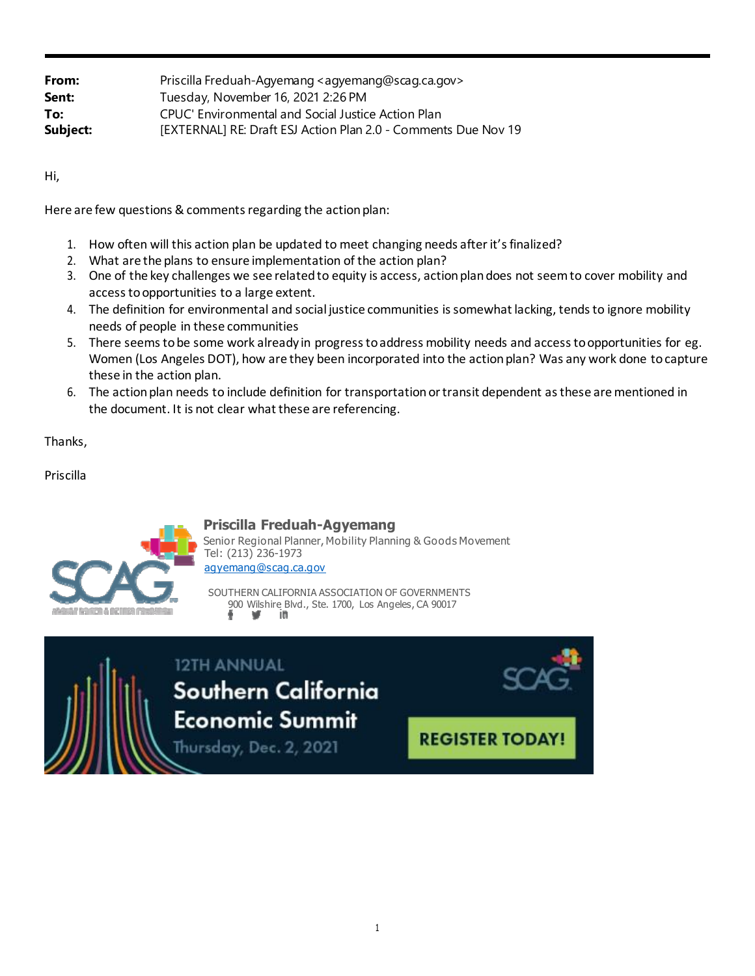| Priscilla Freduah-Agyemang <agyemang@scag.ca.gov></agyemang@scag.ca.gov> |
|--------------------------------------------------------------------------|
|                                                                          |
| Tuesday, November 16, 2021 2:26 PM                                       |
| CPUC' Environmental and Social Justice Action Plan                       |
| [EXTERNAL] RE: Draft ESJ Action Plan 2.0 - Comments Due Nov 19           |
|                                                                          |

Hi,

Here are few questions & comments regarding the action plan:

- 1. How often will this action plan be updated to meet changing needs after it's finalized?
- 2. What are the plans to ensure implementation of the action plan?
- 3. One of the key challenges we see relatedto equity is access, actionplandoes not seemto cover mobility and accessto opportunities to a large extent.
- 4. The definition for environmental and social justice communities is somewhat lacking, tends to ignore mobility needs of people in these communities
- 5. There seems to be some work already in progress to address mobility needs and access to opportunities for eg. Women (Los Angeles DOT), how are they been incorporated into the action plan? Was any work done to capture these in the action plan.
- 6. The action plan needs to include definition for transportation or transit dependent as these are mentioned in the document. It is not clear what these are referencing.

Thanks,

Priscilla



## **Priscilla Freduah-Agyemang**

Senior Regional Planner, Mobility Planning & Goods Movement Tel: (213) 236-1973 [agyemang@scag.ca.gov](mailto:agyemang@scag.ca.gov)

SOUTHERN CALIFORNIA ASSOCIATION OF GOVERNMENTS 900 Wilshire Blvd., Ste. 1700, Los Angeles, CA 90017